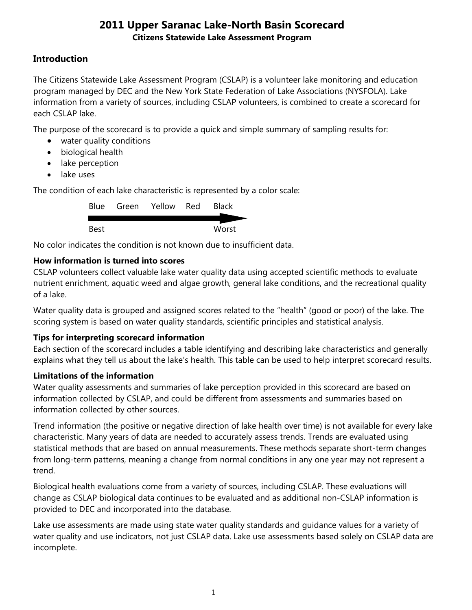## **Introduction**

The Citizens Statewide Lake Assessment Program (CSLAP) is a volunteer lake monitoring and education program managed by DEC and the New York State Federation of Lake Associations (NYSFOLA). Lake information from a variety of sources, including CSLAP volunteers, is combined to create a scorecard for each CSLAP lake.

The purpose of the scorecard is to provide a quick and simple summary of sampling results for:

- water quality conditions
- biological health
- lake perception
- lake uses

The condition of each lake characteristic is represented by a color scale:

|             | Blue Green Yellow Red | <b>Black</b> |
|-------------|-----------------------|--------------|
| <b>Best</b> |                       | Worst        |

No color indicates the condition is not known due to insufficient data.

### **How information is turned into scores**

CSLAP volunteers collect valuable lake water quality data using accepted scientific methods to evaluate nutrient enrichment, aquatic weed and algae growth, general lake conditions, and the recreational quality of a lake.

Water quality data is grouped and assigned scores related to the "health" (good or poor) of the lake. The scoring system is based on water quality standards, scientific principles and statistical analysis.

### **Tips for interpreting scorecard information**

Each section of the scorecard includes a table identifying and describing lake characteristics and generally explains what they tell us about the lake's health. This table can be used to help interpret scorecard results.

### **Limitations of the information**

Water quality assessments and summaries of lake perception provided in this scorecard are based on information collected by CSLAP, and could be different from assessments and summaries based on information collected by other sources.

Trend information (the positive or negative direction of lake health over time) is not available for every lake characteristic. Many years of data are needed to accurately assess trends. Trends are evaluated using statistical methods that are based on annual measurements. These methods separate short-term changes from long-term patterns, meaning a change from normal conditions in any one year may not represent a trend.

Biological health evaluations come from a variety of sources, including CSLAP. These evaluations will change as CSLAP biological data continues to be evaluated and as additional non-CSLAP information is provided to DEC and incorporated into the database.

Lake use assessments are made using state water quality standards and guidance values for a variety of water quality and use indicators, not just CSLAP data. Lake use assessments based solely on CSLAP data are incomplete.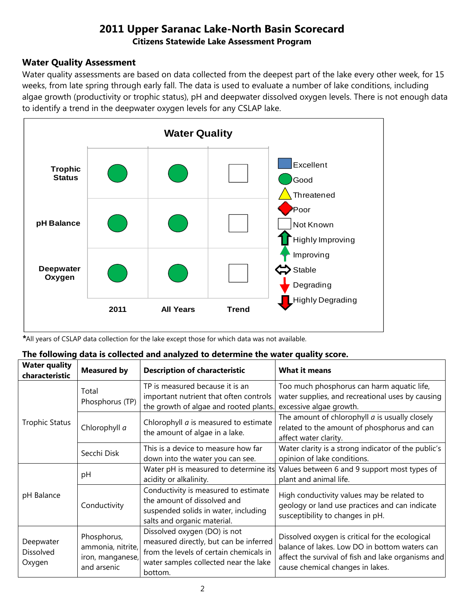#### **Water Quality Assessment**

Water quality assessments are based on data collected from the deepest part of the lake every other week, for 15 weeks, from late spring through early fall. The data is used to evaluate a number of lake conditions, including algae growth (productivity or trophic status), pH and deepwater dissolved oxygen levels. There is not enough data to identify a trend in the deepwater oxygen levels for any CSLAP lake.



*\**All years of CSLAP data collection for the lake except those for which data was not available.

|  |  | The following data is collected and analyzed to determine the water quality score. |  |
|--|--|------------------------------------------------------------------------------------|--|
|--|--|------------------------------------------------------------------------------------|--|

| <b>Water quality</b><br>characteristic | <b>Measured by</b>                                                  | <b>Description of characteristic</b>                                                                                                                                  | <b>What it means</b>                                                                                                                                                                       |
|----------------------------------------|---------------------------------------------------------------------|-----------------------------------------------------------------------------------------------------------------------------------------------------------------------|--------------------------------------------------------------------------------------------------------------------------------------------------------------------------------------------|
|                                        | Total<br>Phosphorus (TP)                                            | TP is measured because it is an<br>important nutrient that often controls<br>the growth of algae and rooted plants.                                                   | Too much phosphorus can harm aquatic life,<br>water supplies, and recreational uses by causing<br>excessive algae growth.                                                                  |
| <b>Trophic Status</b>                  | Chlorophyll a                                                       | Chlorophyll <i>a</i> is measured to estimate<br>the amount of algae in a lake.                                                                                        | The amount of chlorophyll $a$ is usually closely<br>related to the amount of phosphorus and can<br>affect water clarity.                                                                   |
|                                        | Secchi Disk                                                         | This is a device to measure how far<br>down into the water you can see.                                                                                               | Water clarity is a strong indicator of the public's<br>opinion of lake conditions.                                                                                                         |
|                                        | рH                                                                  | Water pH is measured to determine its<br>acidity or alkalinity.                                                                                                       | Values between 6 and 9 support most types of<br>plant and animal life.                                                                                                                     |
| pH Balance                             | Conductivity                                                        | Conductivity is measured to estimate<br>the amount of dissolved and<br>suspended solids in water, including<br>salts and organic material.                            | High conductivity values may be related to<br>geology or land use practices and can indicate<br>susceptibility to changes in pH.                                                           |
| Deepwater<br>Dissolved<br>Oxygen       | Phosphorus,<br>ammonia, nitrite,<br>iron, manganese,<br>and arsenic | Dissolved oxygen (DO) is not<br>measured directly, but can be inferred<br>from the levels of certain chemicals in<br>water samples collected near the lake<br>bottom. | Dissolved oxygen is critical for the ecological<br>balance of lakes. Low DO in bottom waters can<br>affect the survival of fish and lake organisms and<br>cause chemical changes in lakes. |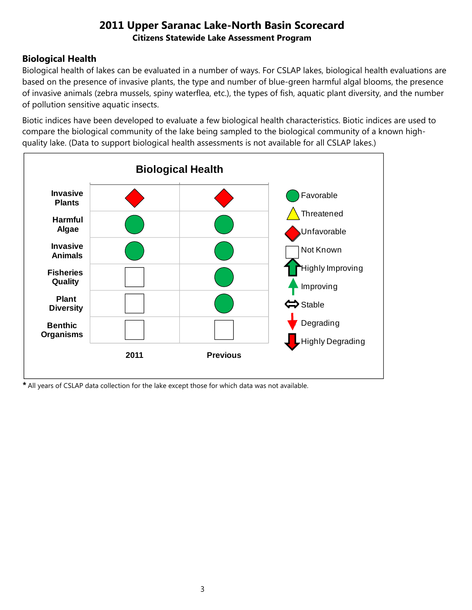## **Biological Health**

Biological health of lakes can be evaluated in a number of ways. For CSLAP lakes, biological health evaluations are based on the presence of invasive plants, the type and number of blue-green harmful algal blooms, the presence of invasive animals (zebra mussels, spiny waterflea, etc.), the types of fish, aquatic plant diversity, and the number of pollution sensitive aquatic insects.

Biotic indices have been developed to evaluate a few biological health characteristics. Biotic indices are used to compare the biological community of the lake being sampled to the biological community of a known highquality lake. (Data to support biological health assessments is not available for all CSLAP lakes.)



*\** All years of CSLAP data collection for the lake except those for which data was not available.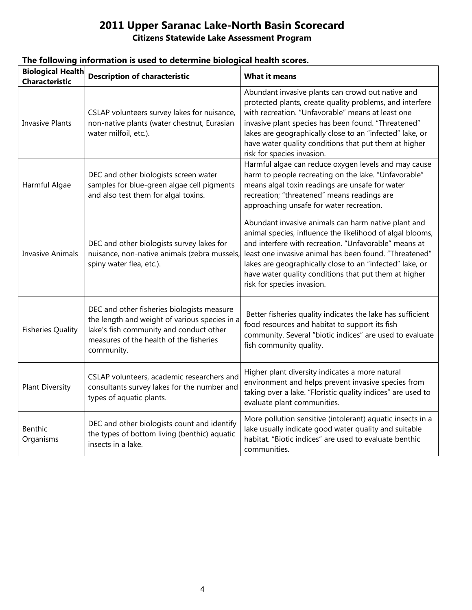# **2011 Upper Saranac Lake-North Basin Scorecard**

#### **Citizens Statewide Lake Assessment Program**

| <b>Biological Health</b><br><b>Characteristic</b> | <b>Description of characteristic</b>                                                                                                                                                            | <b>What it means</b>                                                                                                                                                                                                                                                                                                                                                                   |
|---------------------------------------------------|-------------------------------------------------------------------------------------------------------------------------------------------------------------------------------------------------|----------------------------------------------------------------------------------------------------------------------------------------------------------------------------------------------------------------------------------------------------------------------------------------------------------------------------------------------------------------------------------------|
| <b>Invasive Plants</b>                            | CSLAP volunteers survey lakes for nuisance,<br>non-native plants (water chestnut, Eurasian<br>water milfoil, etc.).                                                                             | Abundant invasive plants can crowd out native and<br>protected plants, create quality problems, and interfere<br>with recreation. "Unfavorable" means at least one<br>invasive plant species has been found. "Threatened"<br>lakes are geographically close to an "infected" lake, or<br>have water quality conditions that put them at higher<br>risk for species invasion.           |
| Harmful Algae                                     | DEC and other biologists screen water<br>samples for blue-green algae cell pigments<br>and also test them for algal toxins.                                                                     | Harmful algae can reduce oxygen levels and may cause<br>harm to people recreating on the lake. "Unfavorable"<br>means algal toxin readings are unsafe for water<br>recreation; "threatened" means readings are<br>approaching unsafe for water recreation.                                                                                                                             |
| <b>Invasive Animals</b>                           | DEC and other biologists survey lakes for<br>nuisance, non-native animals (zebra mussels,<br>spiny water flea, etc.).                                                                           | Abundant invasive animals can harm native plant and<br>animal species, influence the likelihood of algal blooms,<br>and interfere with recreation. "Unfavorable" means at<br>least one invasive animal has been found. "Threatened"<br>lakes are geographically close to an "infected" lake, or<br>have water quality conditions that put them at higher<br>risk for species invasion. |
| <b>Fisheries Quality</b>                          | DEC and other fisheries biologists measure<br>the length and weight of various species in a<br>lake's fish community and conduct other<br>measures of the health of the fisheries<br>community. | Better fisheries quality indicates the lake has sufficient<br>food resources and habitat to support its fish<br>community. Several "biotic indices" are used to evaluate<br>fish community quality.                                                                                                                                                                                    |
| <b>Plant Diversity</b>                            | CSLAP volunteers, academic researchers and<br>consultants survey lakes for the number and<br>types of aquatic plants.                                                                           | Higher plant diversity indicates a more natural<br>environment and helps prevent invasive species from<br>taking over a lake. "Floristic quality indices" are used to<br>evaluate plant communities.                                                                                                                                                                                   |
| Benthic<br>Organisms                              | DEC and other biologists count and identify<br>the types of bottom living (benthic) aquatic<br>insects in a lake.                                                                               | More pollution sensitive (intolerant) aquatic insects in a<br>lake usually indicate good water quality and suitable<br>habitat. "Biotic indices" are used to evaluate benthic<br>communities.                                                                                                                                                                                          |

### **The following information is used to determine biological health scores.**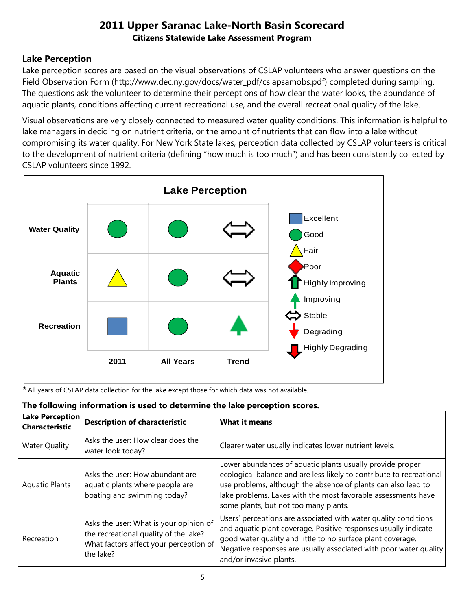## **Lake Perception**

Lake perception scores are based on the visual observations of CSLAP volunteers who answer questions on the Field Observation Form (http://www.dec.ny.gov/docs/water\_pdf/cslapsamobs.pdf) completed during sampling. The questions ask the volunteer to determine their perceptions of how clear the water looks, the abundance of aquatic plants, conditions affecting current recreational use, and the overall recreational quality of the lake.

Visual observations are very closely connected to measured water quality conditions. This information is helpful to lake managers in deciding on nutrient criteria, or the amount of nutrients that can flow into a lake without compromising its water quality. For New York State lakes, perception data collected by CSLAP volunteers is critical to the development of nutrient criteria (defining "how much is too much") and has been consistently collected by CSLAP volunteers since 1992.



*\** All years of CSLAP data collection for the lake except those for which data was not available.

| Lake Perception<br><b>Characteristic</b> | <b>Description of characteristic</b>                                                                                                   | <b>What it means</b>                                                                                                                                                                                                                                                                                         |
|------------------------------------------|----------------------------------------------------------------------------------------------------------------------------------------|--------------------------------------------------------------------------------------------------------------------------------------------------------------------------------------------------------------------------------------------------------------------------------------------------------------|
| <b>Water Quality</b>                     | Asks the user: How clear does the<br>water look today?                                                                                 | Clearer water usually indicates lower nutrient levels.                                                                                                                                                                                                                                                       |
| <b>Aquatic Plants</b>                    | Asks the user: How abundant are<br>aquatic plants where people are<br>boating and swimming today?                                      | Lower abundances of aquatic plants usually provide proper<br>ecological balance and are less likely to contribute to recreational<br>use problems, although the absence of plants can also lead to<br>lake problems. Lakes with the most favorable assessments have<br>some plants, but not too many plants. |
| Recreation                               | Asks the user: What is your opinion of<br>the recreational quality of the lake?<br>What factors affect your perception of<br>the lake? | Users' perceptions are associated with water quality conditions<br>and aquatic plant coverage. Positive responses usually indicate<br>good water quality and little to no surface plant coverage.<br>Negative responses are usually associated with poor water quality<br>and/or invasive plants.            |

#### **The following information is used to determine the lake perception scores.**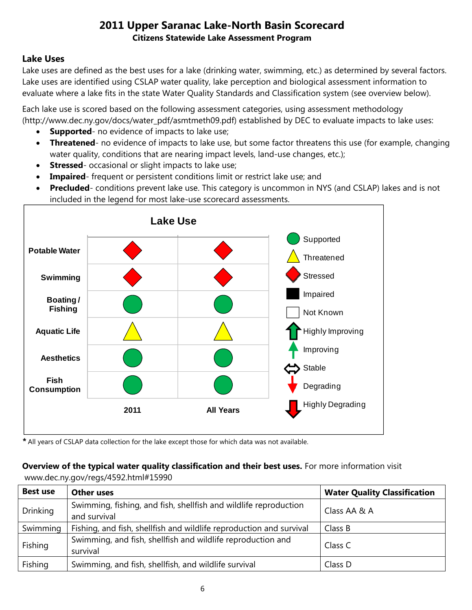### **Lake Uses**

Lake uses are defined as the best uses for a lake (drinking water, swimming, etc.) as determined by several factors. Lake uses are identified using CSLAP water quality, lake perception and biological assessment information to evaluate where a lake fits in the state Water Quality Standards and Classification system (see overview below).

Each lake use is scored based on the following assessment categories, using assessment methodology (http://www.dec.ny.gov/docs/water\_pdf/asmtmeth09.pdf) established by DEC to evaluate impacts to lake uses:

- **Supported** no evidence of impacts to lake use;
- **Threatened** no evidence of impacts to lake use, but some factor threatens this use (for example, changing water quality, conditions that are nearing impact levels, land-use changes, etc.);
- **Stressed** occasional or slight impacts to lake use;
- **Impaired** frequent or persistent conditions limit or restrict lake use; and
- **Precluded** conditions prevent lake use. This category is uncommon in NYS (and CSLAP) lakes and is not included in the legend for most lake-use scorecard assessments.



*\** All years of CSLAP data collection for the lake except those for which data was not available.

#### **Overview of the typical water quality classification and their best uses.** For more information visit www.dec.ny.gov/regs/4592.html#15990

| <b>Best use</b> | <b>Other uses</b>                                                                | <b>Water Quality Classification</b> |
|-----------------|----------------------------------------------------------------------------------|-------------------------------------|
| <b>Drinking</b> | Swimming, fishing, and fish, shellfish and wildlife reproduction<br>and survival | Class AA & A                        |
| Swimming        | Fishing, and fish, shellfish and wildlife reproduction and survival              | Class B                             |
| Fishing         | Swimming, and fish, shellfish and wildlife reproduction and<br>survival          | Class C                             |
| Fishing         | Swimming, and fish, shellfish, and wildlife survival                             | Class D                             |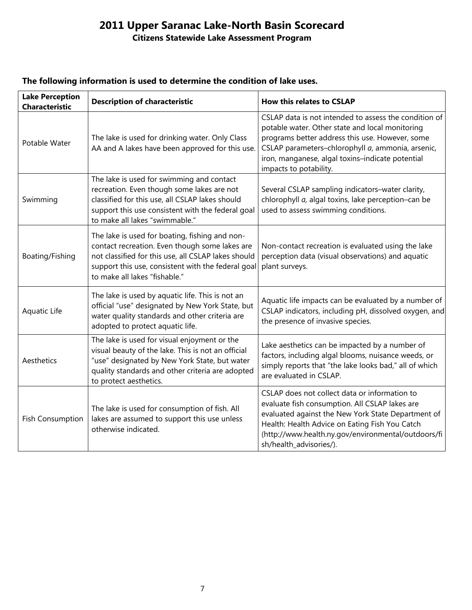# **2011 Upper Saranac Lake-North Basin Scorecard**

## **Citizens Statewide Lake Assessment Program**

| <b>Lake Perception</b><br><b>Characteristic</b> | <b>Description of characteristic</b>                                                                                                                                                                                                           | How this relates to CSLAP                                                                                                                                                                                                                                                                      |
|-------------------------------------------------|------------------------------------------------------------------------------------------------------------------------------------------------------------------------------------------------------------------------------------------------|------------------------------------------------------------------------------------------------------------------------------------------------------------------------------------------------------------------------------------------------------------------------------------------------|
| Potable Water                                   | The lake is used for drinking water. Only Class<br>AA and A lakes have been approved for this use.                                                                                                                                             | CSLAP data is not intended to assess the condition of<br>potable water. Other state and local monitoring<br>programs better address this use. However, some<br>CSLAP parameters-chlorophyll a, ammonia, arsenic,<br>iron, manganese, algal toxins-indicate potential<br>impacts to potability. |
| Swimming                                        | The lake is used for swimming and contact<br>recreation. Even though some lakes are not<br>classified for this use, all CSLAP lakes should<br>support this use consistent with the federal goal<br>to make all lakes "swimmable."              | Several CSLAP sampling indicators-water clarity,<br>chlorophyll a, algal toxins, lake perception-can be<br>used to assess swimming conditions.                                                                                                                                                 |
| Boating/Fishing                                 | The lake is used for boating, fishing and non-<br>contact recreation. Even though some lakes are<br>not classified for this use, all CSLAP lakes should<br>support this use, consistent with the federal goal<br>to make all lakes "fishable." | Non-contact recreation is evaluated using the lake<br>perception data (visual observations) and aquatic<br>plant surveys.                                                                                                                                                                      |
| Aquatic Life                                    | The lake is used by aquatic life. This is not an<br>official "use" designated by New York State, but<br>water quality standards and other criteria are<br>adopted to protect aquatic life.                                                     | Aquatic life impacts can be evaluated by a number of<br>CSLAP indicators, including pH, dissolved oxygen, and<br>the presence of invasive species.                                                                                                                                             |
| Aesthetics                                      | The lake is used for visual enjoyment or the<br>visual beauty of the lake. This is not an official<br>"use" designated by New York State, but water<br>quality standards and other criteria are adopted<br>to protect aesthetics.              | Lake aesthetics can be impacted by a number of<br>factors, including algal blooms, nuisance weeds, or<br>simply reports that "the lake looks bad," all of which<br>are evaluated in CSLAP.                                                                                                     |
| <b>Fish Consumption</b>                         | The lake is used for consumption of fish. All<br>lakes are assumed to support this use unless<br>otherwise indicated.                                                                                                                          | CSLAP does not collect data or information to<br>evaluate fish consumption. All CSLAP lakes are<br>evaluated against the New York State Department of<br>Health: Health Advice on Eating Fish You Catch<br>(http://www.health.ny.gov/environmental/outdoors/fi<br>sh/health_advisories/).      |

#### **The following information is used to determine the condition of lake uses.**